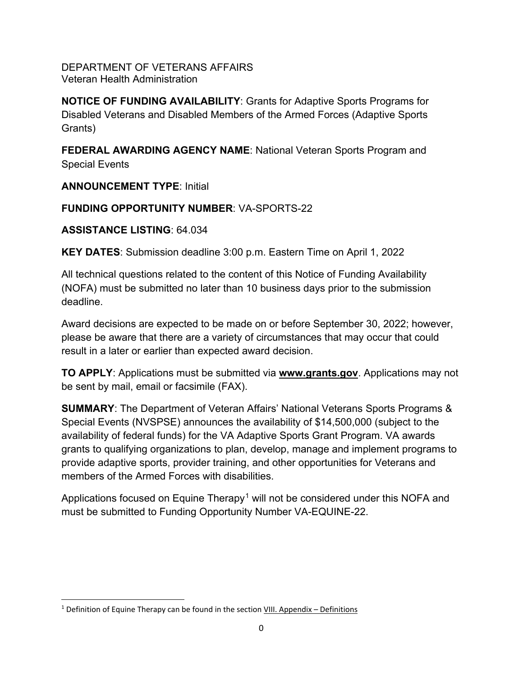DEPARTMENT OF VETERANS AFFAIRS Veteran Health Administration

**NOTICE OF FUNDING AVAILABILITY**: Grants for Adaptive Sports Programs for Disabled Veterans and Disabled Members of the Armed Forces (Adaptive Sports Grants)

**FEDERAL AWARDING AGENCY NAME**: National Veteran Sports Program and Special Events

**ANNOUNCEMENT TYPE**: Initial

## **FUNDING OPPORTUNITY NUMBER**: VA-SPORTS-22

**ASSISTANCE LISTING**: 64.034

**KEY DATES**: Submission deadline 3:00 p.m. Eastern Time on April 1, 2022

All technical questions related to the content of this Notice of Funding Availability (NOFA) must be submitted no later than 10 business days prior to the submission deadline.

Award decisions are expected to be made on or before September 30, 2022; however, please be aware that there are a variety of circumstances that may occur that could result in a later or earlier than expected award decision.

**TO APPLY**: Applications must be submitted via **[www.grants.gov](file://vacohsm01.dva.va.gov/VACO_Workgroups/VHA/10P4/10P4R/10P4RN/Grant%20Program/GRANT%20PROGRAMS/www.grants.gov)**. Applications may not be sent by mail, email or facsimile (FAX).

**SUMMARY**: The Department of Veteran Affairs' National Veterans Sports Programs & Special Events (NVSPSE) announces the availability of \$14,500,000 (subject to the availability of federal funds) for the VA Adaptive Sports Grant Program. VA awards grants to qualifying organizations to plan, develop, manage and implement programs to provide adaptive sports, provider training, and other opportunities for Veterans and members of the Armed Forces with disabilities.

Applications focused on Equine Therapy<sup>[1](#page-0-0)</sup> will not be considered under this NOFA and must be submitted to Funding Opportunity Number VA-EQUINE-22.

<span id="page-0-0"></span> $1$  Definition of Equine Therapy can be found in the section VIII. Appendix – Definitions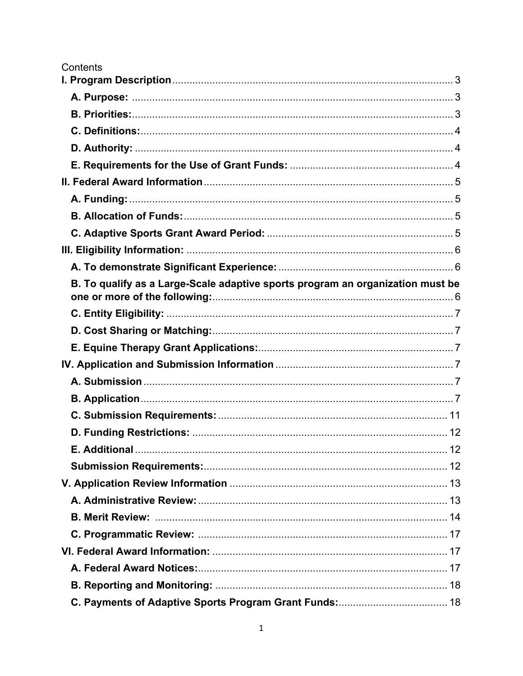| Contents                                                                       |    |
|--------------------------------------------------------------------------------|----|
|                                                                                |    |
|                                                                                |    |
|                                                                                |    |
|                                                                                |    |
|                                                                                |    |
|                                                                                |    |
|                                                                                |    |
|                                                                                |    |
|                                                                                |    |
|                                                                                |    |
|                                                                                |    |
|                                                                                |    |
| B. To qualify as a Large-Scale adaptive sports program an organization must be |    |
|                                                                                |    |
|                                                                                |    |
|                                                                                |    |
|                                                                                |    |
|                                                                                |    |
|                                                                                |    |
|                                                                                |    |
|                                                                                |    |
|                                                                                |    |
|                                                                                |    |
|                                                                                |    |
|                                                                                |    |
|                                                                                |    |
|                                                                                |    |
|                                                                                |    |
|                                                                                |    |
|                                                                                |    |
|                                                                                | 18 |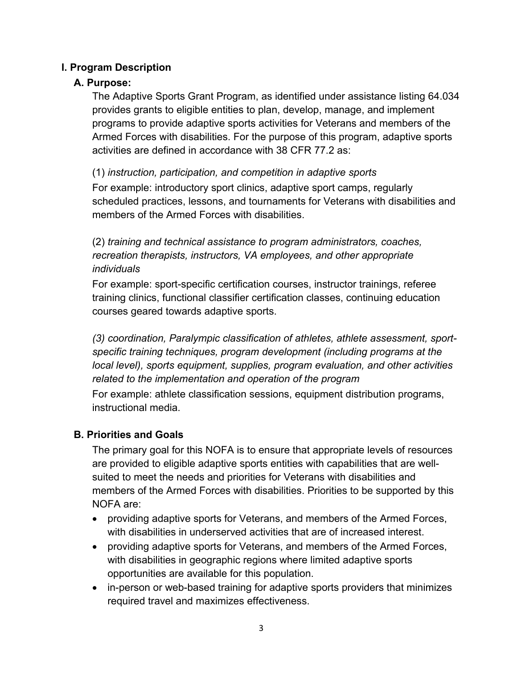## <span id="page-3-1"></span><span id="page-3-0"></span>**I. Program Description**

## **A. Purpose:**

The Adaptive Sports Grant Program, as identified under assistance listing 64.034 provides grants to eligible entities to plan, develop, manage, and implement programs to provide adaptive sports activities for Veterans and members of the Armed Forces with disabilities. For the purpose of this program, adaptive sports activities are defined in accordance with 38 CFR 77.2 as:

(1) *instruction, participation, and competition in adaptive sports* For example: introductory sport clinics, adaptive sport camps, regularly scheduled practices, lessons, and tournaments for Veterans with disabilities and members of the Armed Forces with disabilities.

(2) *training and technical assistance to program administrators, coaches, recreation therapists, instructors, VA employees, and other appropriate individuals*

For example: sport-specific certification courses, instructor trainings, referee training clinics, functional classifier certification classes, continuing education courses geared towards adaptive sports.

*(3) coordination, Paralympic classification of athletes, athlete assessment, sportspecific training techniques, program development (including programs at the local level), sports equipment, supplies, program evaluation, and other activities related to the implementation and operation of the program*

For example: athlete classification sessions, equipment distribution programs, instructional media.

## <span id="page-3-2"></span>**B. Priorities and Goals**

The primary goal for this NOFA is to ensure that appropriate levels of resources are provided to eligible adaptive sports entities with capabilities that are wellsuited to meet the needs and priorities for Veterans with disabilities and members of the Armed Forces with disabilities. Priorities to be supported by this NOFA are:

- providing adaptive sports for Veterans, and members of the Armed Forces, with disabilities in underserved activities that are of increased interest.
- providing adaptive sports for Veterans, and members of the Armed Forces, with disabilities in geographic regions where limited adaptive sports opportunities are available for this population.
- in-person or web-based training for adaptive sports providers that minimizes required travel and maximizes effectiveness.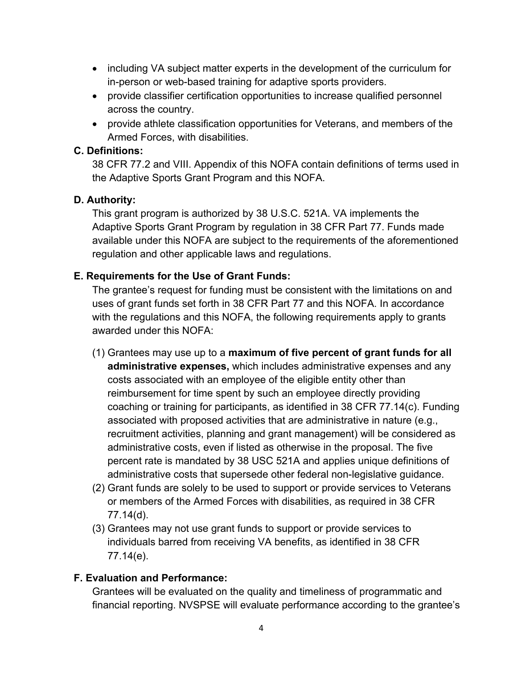- including VA subject matter experts in the development of the curriculum for in-person or web-based training for adaptive sports providers.
- provide classifier certification opportunities to increase qualified personnel across the country.
- provide athlete classification opportunities for Veterans, and members of the Armed Forces, with disabilities.

#### <span id="page-4-0"></span>**C. Definitions:**

38 CFR 77.2 and VIII. Appendix of this NOFA contain definitions of terms used in the Adaptive Sports Grant Program and this NOFA.

## <span id="page-4-1"></span>**D. Authority:**

This grant program is authorized by 38 U.S.C. 521A. VA implements the Adaptive Sports Grant Program by regulation in 38 CFR Part 77. Funds made available under this NOFA are subject to the requirements of the aforementioned regulation and other applicable laws and regulations.

## <span id="page-4-2"></span>**E. Requirements for the Use of Grant Funds:**

The grantee's request for funding must be consistent with the limitations on and uses of grant funds set forth in 38 CFR Part 77 and this NOFA. In accordance with the regulations and this NOFA, the following requirements apply to grants awarded under this NOFA:

- (1) Grantees may use up to a **maximum of five percent of grant funds for all administrative expenses,** which includes administrative expenses and any costs associated with an employee of the eligible entity other than reimbursement for time spent by such an employee directly providing coaching or training for participants, as identified in 38 CFR 77.14(c). Funding associated with proposed activities that are administrative in nature (e.g., recruitment activities, planning and grant management) will be considered as administrative costs, even if listed as otherwise in the proposal. The five percent rate is mandated by 38 USC 521A and applies unique definitions of administrative costs that supersede other federal non-legislative guidance.
- (2) Grant funds are solely to be used to support or provide services to Veterans or members of the Armed Forces with disabilities, as required in 38 CFR 77.14(d).
- (3) Grantees may not use grant funds to support or provide services to individuals barred from receiving VA benefits, as identified in 38 CFR 77.14(e).

#### **F. Evaluation and Performance:**

Grantees will be evaluated on the quality and timeliness of programmatic and financial reporting. NVSPSE will evaluate performance according to the grantee's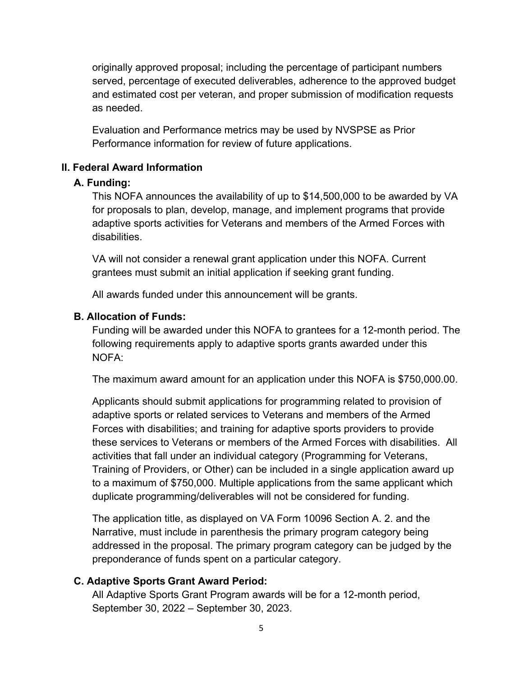originally approved proposal; including the percentage of participant numbers served, percentage of executed deliverables, adherence to the approved budget and estimated cost per veteran, and proper submission of modification requests as needed.

Evaluation and Performance metrics may be used by NVSPSE as Prior Performance information for review of future applications.

## <span id="page-5-1"></span><span id="page-5-0"></span>**II. Federal Award Information**

## **A. Funding:**

This NOFA announces the availability of up to \$14,500,000 to be awarded by VA for proposals to plan, develop, manage, and implement programs that provide adaptive sports activities for Veterans and members of the Armed Forces with disabilities.

VA will not consider a renewal grant application under this NOFA. Current grantees must submit an initial application if seeking grant funding.

All awards funded under this announcement will be grants.

## <span id="page-5-2"></span>**B. Allocation of Funds:**

Funding will be awarded under this NOFA to grantees for a 12-month period. The following requirements apply to adaptive sports grants awarded under this NOFA:

The maximum award amount for an application under this NOFA is \$750,000.00.

Applicants should submit applications for programming related to provision of adaptive sports or related services to Veterans and members of the Armed Forces with disabilities; and training for adaptive sports providers to provide these services to Veterans or members of the Armed Forces with disabilities. All activities that fall under an individual category (Programming for Veterans, Training of Providers, or Other) can be included in a single application award up to a maximum of \$750,000. Multiple applications from the same applicant which duplicate programming/deliverables will not be considered for funding.

The application title, as displayed on VA Form 10096 Section A. 2. and the Narrative, must include in parenthesis the primary program category being addressed in the proposal. The primary program category can be judged by the preponderance of funds spent on a particular category.

## <span id="page-5-3"></span>**C. Adaptive Sports Grant Award Period:**

All Adaptive Sports Grant Program awards will be for a 12-month period, September 30, 2022 – September 30, 2023.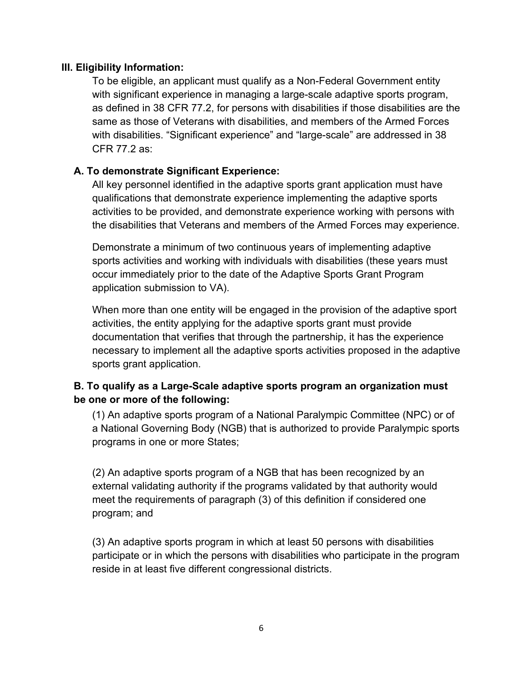## <span id="page-6-0"></span>**III. Eligibility Information:**

To be eligible, an applicant must qualify as a Non-Federal Government entity with significant experience in managing a large-scale adaptive sports program, as defined in 38 CFR 77.2, for persons with disabilities if those disabilities are the same as those of Veterans with disabilities, and members of the Armed Forces with disabilities. "Significant experience" and "large-scale" are addressed in 38 CFR 77.2 as:

## <span id="page-6-1"></span>**A. To demonstrate Significant Experience:**

All key personnel identified in the adaptive sports grant application must have qualifications that demonstrate experience implementing the adaptive sports activities to be provided, and demonstrate experience working with persons with the disabilities that Veterans and members of the Armed Forces may experience.

Demonstrate a minimum of two continuous years of implementing adaptive sports activities and working with individuals with disabilities (these years must occur immediately prior to the date of the Adaptive Sports Grant Program application submission to VA).

When more than one entity will be engaged in the provision of the adaptive sport activities, the entity applying for the adaptive sports grant must provide documentation that verifies that through the partnership, it has the experience necessary to implement all the adaptive sports activities proposed in the adaptive sports grant application.

## <span id="page-6-2"></span>**B. To qualify as a Large-Scale adaptive sports program an organization must be one or more of the following:**

(1) An adaptive sports program of a National Paralympic Committee (NPC) or of a National Governing Body (NGB) that is authorized to provide Paralympic sports programs in one or more States;

(2) An adaptive sports program of a NGB that has been recognized by an external validating authority if the programs validated by that authority would meet the requirements of paragraph (3) of this definition if considered one program; and

(3) An adaptive sports program in which at least 50 persons with disabilities participate or in which the persons with disabilities who participate in the program reside in at least five different congressional districts.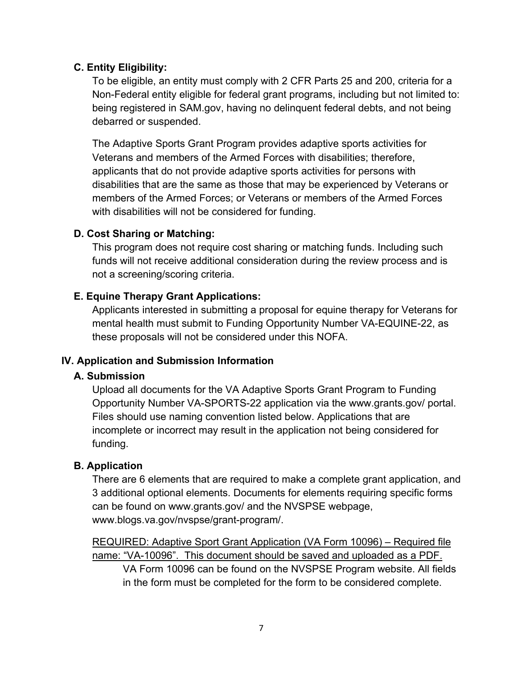## <span id="page-7-0"></span>**C. Entity Eligibility:**

To be eligible, an entity must comply with 2 CFR Parts 25 and 200, criteria for a Non-Federal entity eligible for federal grant programs, including but not limited to: being registered in SAM.gov, having no delinquent federal debts, and not being debarred or suspended.

The Adaptive Sports Grant Program provides adaptive sports activities for Veterans and members of the Armed Forces with disabilities; therefore, applicants that do not provide adaptive sports activities for persons with disabilities that are the same as those that may be experienced by Veterans or members of the Armed Forces; or Veterans or members of the Armed Forces with disabilities will not be considered for funding.

## <span id="page-7-1"></span>**D. Cost Sharing or Matching:**

This program does not require cost sharing or matching funds. Including such funds will not receive additional consideration during the review process and is not a screening/scoring criteria.

## <span id="page-7-2"></span>**E. Equine Therapy Grant Applications:**

Applicants interested in submitting a proposal for equine therapy for Veterans for mental health must submit to Funding Opportunity Number VA-EQUINE-22, as these proposals will not be considered under this NOFA.

## <span id="page-7-4"></span><span id="page-7-3"></span>**IV. Application and Submission Information**

#### **A. Submission**

Upload all documents for the VA Adaptive Sports Grant Program to Funding Opportunity Number VA-SPORTS-22 application via the www.grants.gov/ portal. Files should use naming convention listed below. Applications that are incomplete or incorrect may result in the application not being considered for funding.

#### <span id="page-7-5"></span>**B. Application**

There are 6 elements that are required to make a complete grant application, and 3 additional optional elements. Documents for elements requiring specific forms can be found on www.grants.gov/ and the NVSPSE webpage, www.blogs.va.gov/nvspse/grant-program/.

REQUIRED: Adaptive Sport Grant Application (VA Form 10096) – Required file name: "VA-10096". This document should be saved and uploaded as a PDF.

VA Form 10096 can be found on the NVSPSE Program website. All fields in the form must be completed for the form to be considered complete.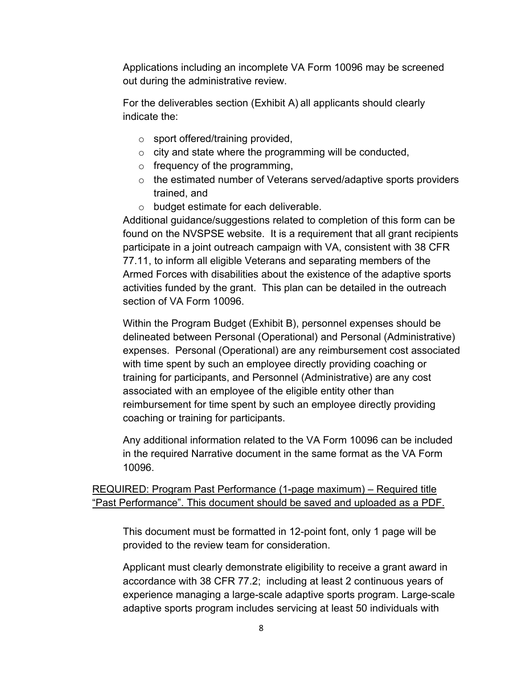Applications including an incomplete VA Form 10096 may be screened out during the administrative review.

For the deliverables section (Exhibit A) all applicants should clearly indicate the:

- o sport offered/training provided,
- o city and state where the programming will be conducted,
- $\circ$  frequency of the programming,
- o the estimated number of Veterans served/adaptive sports providers trained, and
- o budget estimate for each deliverable.

Additional guidance/suggestions related to completion of this form can be found on the NVSPSE website. It is a requirement that all grant recipients participate in a joint outreach campaign with VA, consistent with 38 CFR 77.11, to inform all eligible Veterans and separating members of the Armed Forces with disabilities about the existence of the adaptive sports activities funded by the grant. This plan can be detailed in the outreach section of VA Form 10096.

Within the Program Budget (Exhibit B), personnel expenses should be delineated between Personal (Operational) and Personal (Administrative) expenses. Personal (Operational) are any reimbursement cost associated with time spent by such an employee directly providing coaching or training for participants, and Personnel (Administrative) are any cost associated with an employee of the eligible entity other than reimbursement for time spent by such an employee directly providing coaching or training for participants.

Any additional information related to the VA Form 10096 can be included in the required Narrative document in the same format as the VA Form 10096.

REQUIRED: Program Past Performance (1-page maximum) – Required title "Past Performance". This document should be saved and uploaded as a PDF.

This document must be formatted in 12-point font, only 1 page will be provided to the review team for consideration.

Applicant must clearly demonstrate eligibility to receive a grant award in accordance with 38 CFR 77.2; including at least 2 continuous years of experience managing a large-scale adaptive sports program. Large-scale adaptive sports program includes servicing at least 50 individuals with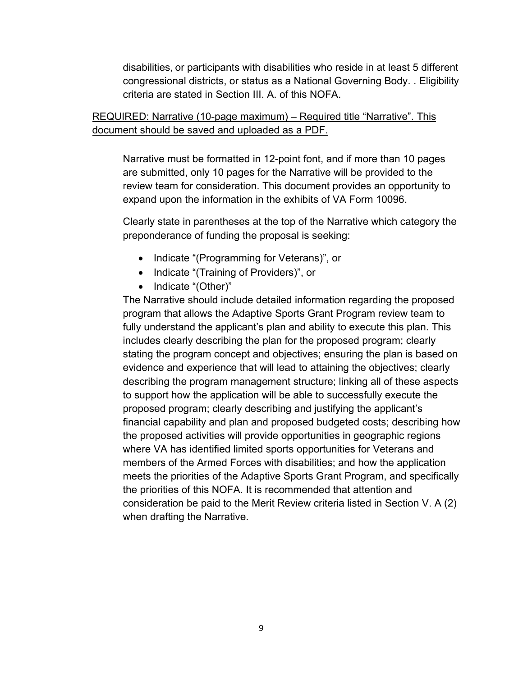disabilities, or participants with disabilities who reside in at least 5 different congressional districts, or status as a National Governing Body. . Eligibility criteria are stated in Section III. A. of this NOFA.

## REQUIRED: Narrative (10-page maximum) – Required title "Narrative". This document should be saved and uploaded as a PDF.

Narrative must be formatted in 12-point font, and if more than 10 pages are submitted, only 10 pages for the Narrative will be provided to the review team for consideration. This document provides an opportunity to expand upon the information in the exhibits of VA Form 10096.

Clearly state in parentheses at the top of the Narrative which category the preponderance of funding the proposal is seeking:

- Indicate "(Programming for Veterans)", or
- Indicate "(Training of Providers)", or
- Indicate "(Other)"

The Narrative should include detailed information regarding the proposed program that allows the Adaptive Sports Grant Program review team to fully understand the applicant's plan and ability to execute this plan. This includes clearly describing the plan for the proposed program; clearly stating the program concept and objectives; ensuring the plan is based on evidence and experience that will lead to attaining the objectives; clearly describing the program management structure; linking all of these aspects to support how the application will be able to successfully execute the proposed program; clearly describing and justifying the applicant's financial capability and plan and proposed budgeted costs; describing how the proposed activities will provide opportunities in geographic regions where VA has identified limited sports opportunities for Veterans and members of the Armed Forces with disabilities; and how the application meets the priorities of the Adaptive Sports Grant Program, and specifically the priorities of this NOFA. It is recommended that attention and consideration be paid to the Merit Review criteria listed in Section V. A (2) when drafting the Narrative.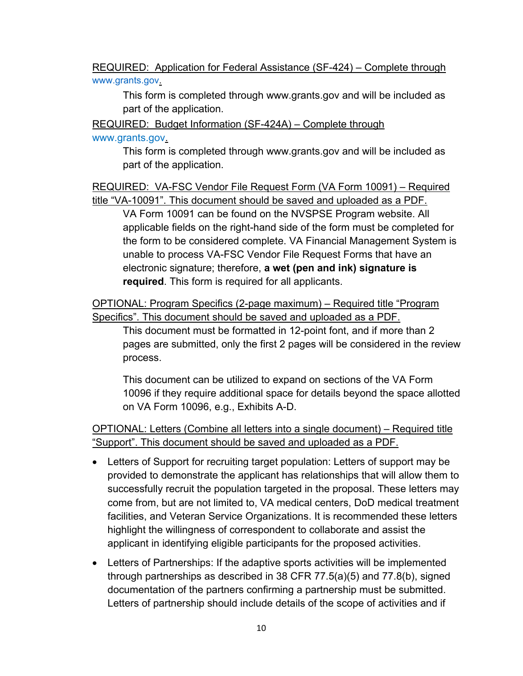REQUIRED: Application for Federal Assistance (SF-424) – Complete through [www.grants.gov.](http://www.grants.gov/)

This form is completed through www.grants.gov and will be included as part of the application.

REQUIRED: Budget Information (SF-424A) – Complete through

www.grants.gov.

This form is completed through www.grants.gov and will be included as part of the application.

REQUIRED: VA-FSC Vendor File Request Form (VA Form 10091) – Required title "VA-10091". This document should be saved and uploaded as a PDF.

VA Form 10091 can be found on the NVSPSE Program website. All applicable fields on the right-hand side of the form must be completed for the form to be considered complete. VA Financial Management System is unable to process VA-FSC Vendor File Request Forms that have an electronic signature; therefore, **a wet (pen and ink) signature is required**. This form is required for all applicants.

OPTIONAL: Program Specifics (2-page maximum) – Required title "Program Specifics". This document should be saved and uploaded as a PDF.

This document must be formatted in 12-point font, and if more than 2 pages are submitted, only the first 2 pages will be considered in the review process.

This document can be utilized to expand on sections of the VA Form 10096 if they require additional space for details beyond the space allotted on VA Form 10096, e.g., Exhibits A-D.

OPTIONAL: Letters (Combine all letters into a single document) – Required title "Support". This document should be saved and uploaded as a PDF.

- Letters of Support for recruiting target population: Letters of support may be provided to demonstrate the applicant has relationships that will allow them to successfully recruit the population targeted in the proposal. These letters may come from, but are not limited to, VA medical centers, DoD medical treatment facilities, and Veteran Service Organizations. It is recommended these letters highlight the willingness of correspondent to collaborate and assist the applicant in identifying eligible participants for the proposed activities.
- Letters of Partnerships: If the adaptive sports activities will be implemented through partnerships as described in 38 CFR 77.5(a)(5) and 77.8(b), signed documentation of the partners confirming a partnership must be submitted. Letters of partnership should include details of the scope of activities and if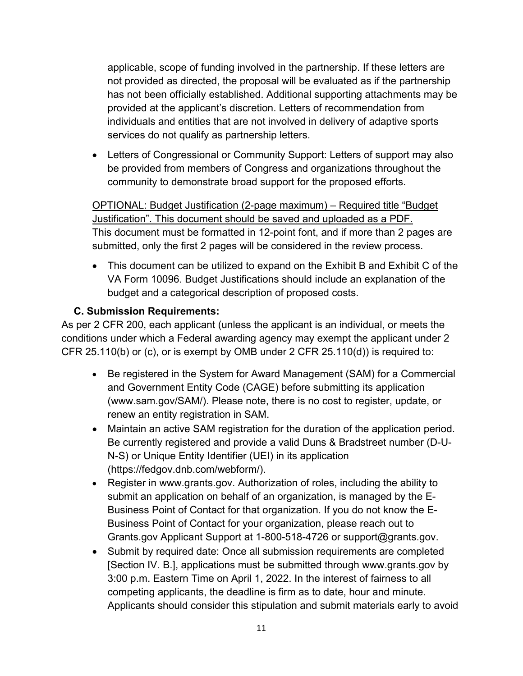applicable, scope of funding involved in the partnership. If these letters are not provided as directed, the proposal will be evaluated as if the partnership has not been officially established. Additional supporting attachments may be provided at the applicant's discretion. Letters of recommendation from individuals and entities that are not involved in delivery of adaptive sports services do not qualify as partnership letters.

• Letters of Congressional or Community Support: Letters of support may also be provided from members of Congress and organizations throughout the community to demonstrate broad support for the proposed efforts.

OPTIONAL: Budget Justification (2-page maximum) – Required title "Budget Justification". This document should be saved and uploaded as a PDF. This document must be formatted in 12-point font, and if more than 2 pages are submitted, only the first 2 pages will be considered in the review process.

• This document can be utilized to expand on the Exhibit B and Exhibit C of the VA Form 10096. Budget Justifications should include an explanation of the budget and a categorical description of proposed costs.

## <span id="page-11-0"></span>**C. Submission Requirements:**

As per 2 CFR 200, each applicant (unless the applicant is an individual, or meets the conditions under which a Federal awarding agency may exempt the applicant under 2 CFR 25.110(b) or (c), or is exempt by OMB under 2 CFR 25.110(d)) is required to:

- Be registered in the System for Award Management (SAM) for a Commercial and Government Entity Code (CAGE) before submitting its application (www.sam.gov/SAM/). Please note, there is no cost to register, update, or renew an entity registration in SAM.
- Maintain an active SAM registration for the duration of the application period. Be currently registered and provide a valid Duns & Bradstreet number (D-U-N-S) or Unique Entity Identifier (UEI) in its application (https://fedgov.dnb.com/webform/).
- Register in www.grants.gov. Authorization of roles, including the ability to submit an application on behalf of an organization, is managed by the E-Business Point of Contact for that organization. If you do not know the E-Business Point of Contact for your organization, please reach out to Grants.gov Applicant Support at 1-800-518-4726 or support@grants.gov.
- Submit by required date: Once all submission requirements are completed [Section IV. B.], applications must be submitted through www.grants.gov by 3:00 p.m. Eastern Time on April 1, 2022. In the interest of fairness to all competing applicants, the deadline is firm as to date, hour and minute. Applicants should consider this stipulation and submit materials early to avoid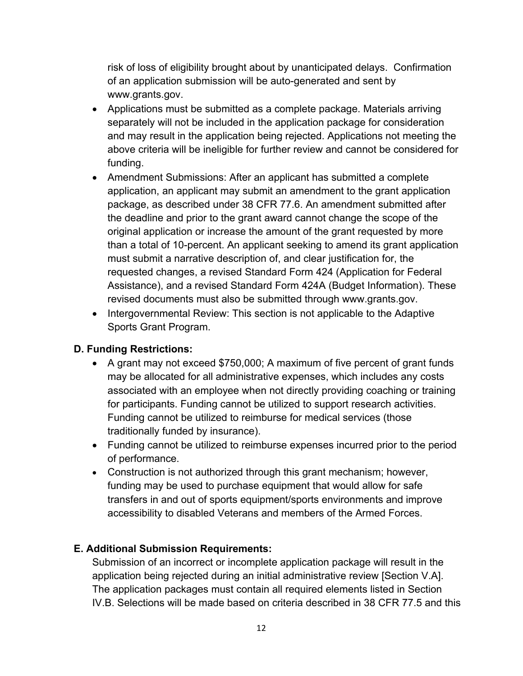risk of loss of eligibility brought about by unanticipated delays. Confirmation of an application submission will be auto-generated and sent by www.grants.gov.

- Applications must be submitted as a complete package. Materials arriving separately will not be included in the application package for consideration and may result in the application being rejected. Applications not meeting the above criteria will be ineligible for further review and cannot be considered for funding.
- Amendment Submissions: After an applicant has submitted a complete application, an applicant may submit an amendment to the grant application package, as described under 38 CFR 77.6. An amendment submitted after the deadline and prior to the grant award cannot change the scope of the original application or increase the amount of the grant requested by more than a total of 10-percent. An applicant seeking to amend its grant application must submit a narrative description of, and clear justification for, the requested changes, a revised Standard Form 424 (Application for Federal Assistance), and a revised Standard Form 424A (Budget Information). These revised documents must also be submitted through www.grants.gov.
- Intergovernmental Review: This section is not applicable to the Adaptive Sports Grant Program.

## <span id="page-12-0"></span>**D. Funding Restrictions:**

- A grant may not exceed \$750,000; A maximum of five percent of grant funds may be allocated for all administrative expenses, which includes any costs associated with an employee when not directly providing coaching or training for participants. Funding cannot be utilized to support research activities. Funding cannot be utilized to reimburse for medical services (those traditionally funded by insurance).
- Funding cannot be utilized to reimburse expenses incurred prior to the period of performance.
- Construction is not authorized through this grant mechanism; however, funding may be used to purchase equipment that would allow for safe transfers in and out of sports equipment/sports environments and improve accessibility to disabled Veterans and members of the Armed Forces.

## <span id="page-12-1"></span>**E. Additional Submission Requirements:**

<span id="page-12-2"></span>Submission of an incorrect or incomplete application package will result in the application being rejected during an initial administrative review [Section V.A]. The application packages must contain all required elements listed in Section IV.B. Selections will be made based on criteria described in 38 CFR 77.5 and this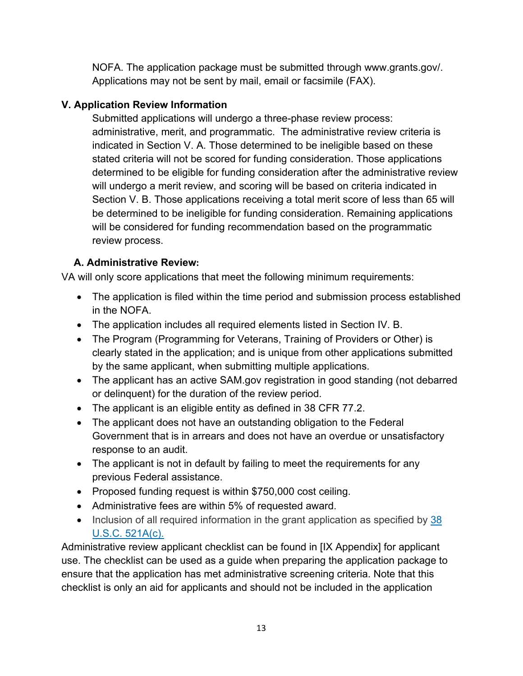NOFA. The application package must be submitted through www.grants.gov/. Applications may not be sent by mail, email or facsimile (FAX).

## <span id="page-13-0"></span>**V. Application Review Information**

Submitted applications will undergo a three-phase review process: administrative, merit, and programmatic. The administrative review criteria is indicated in Section V. A. Those determined to be ineligible based on these stated criteria will not be scored for funding consideration. Those applications determined to be eligible for funding consideration after the administrative review will undergo a merit review, and scoring will be based on criteria indicated in Section V. B. Those applications receiving a total merit score of less than 65 will be determined to be ineligible for funding consideration. Remaining applications will be considered for funding recommendation based on the programmatic review process.

# <span id="page-13-1"></span>**A. Administrative Review:**

VA will only score applications that meet the following minimum requirements:

- The application is filed within the time period and submission process established in the NOFA.
- The application includes all required elements listed in Section IV. B.
- The Program (Programming for Veterans, Training of Providers or Other) is clearly stated in the application; and is unique from other applications submitted by the same applicant, when submitting multiple applications.
- The applicant has an active SAM gov registration in good standing (not debarred or delinquent) for the duration of the review period.
- The applicant is an eligible entity as defined in 38 CFR 77.2.
- The applicant does not have an outstanding obligation to the Federal Government that is in arrears and does not have an overdue or unsatisfactory response to an audit.
- The applicant is not in default by failing to meet the requirements for any previous Federal assistance.
- Proposed funding request is within \$750,000 cost ceiling.
- Administrative fees are within 5% of requested award.
- Inclusion of all required information in the grant application as specified by  $38$ [U.S.C. 521A\(c\).](https://www.law.cornell.edu/uscode/text/38/521A#c)

Administrative review applicant checklist can be found in [IX Appendix] for applicant use. The checklist can be used as a guide when preparing the application package to ensure that the application has met administrative screening criteria. Note that this checklist is only an aid for applicants and should not be included in the application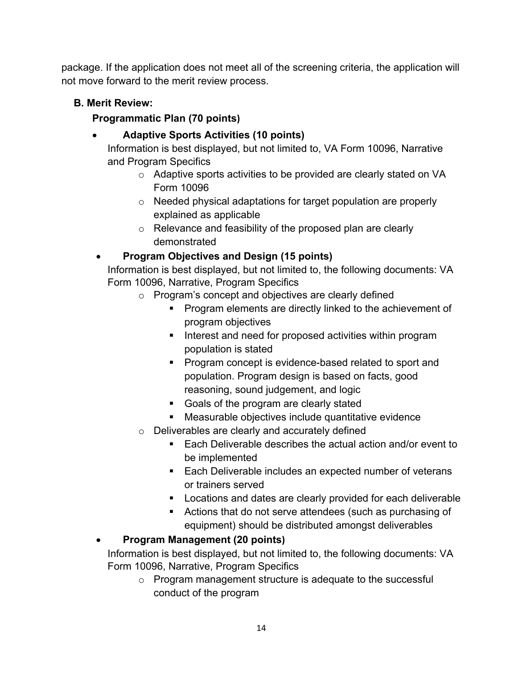package. If the application does not meet all of the screening criteria, the application will not move forward to the merit review process.

# <span id="page-14-0"></span>**B. Merit Review:**

# **Programmatic Plan (70 points)**

# • **Adaptive Sports Activities (10 points)**

Information is best displayed, but not limited to, VA Form 10096, Narrative and Program Specifics

- o Adaptive sports activities to be provided are clearly stated on VA Form 10096
- o Needed physical adaptations for target population are properly explained as applicable
- o Relevance and feasibility of the proposed plan are clearly demonstrated

# • **Program Objectives and Design (15 points)**

Information is best displayed, but not limited to, the following documents: VA Form 10096, Narrative, Program Specifics

- o Program's concept and objectives are clearly defined
	- **Program elements are directly linked to the achievement of** program objectives
	- **IF** Interest and need for proposed activities within program population is stated
	- **Program concept is evidence-based related to sport and** population. Program design is based on facts, good reasoning, sound judgement, and logic
	- Goals of the program are clearly stated
	- Measurable objectives include quantitative evidence
- o Deliverables are clearly and accurately defined
	- Each Deliverable describes the actual action and/or event to be implemented
	- Each Deliverable includes an expected number of veterans or trainers served
	- **Locations and dates are clearly provided for each deliverable**
	- Actions that do not serve attendees (such as purchasing of equipment) should be distributed amongst deliverables

# • **Program Management (20 points)**

Information is best displayed, but not limited to, the following documents: VA Form 10096, Narrative, Program Specifics

o Program management structure is adequate to the successful conduct of the program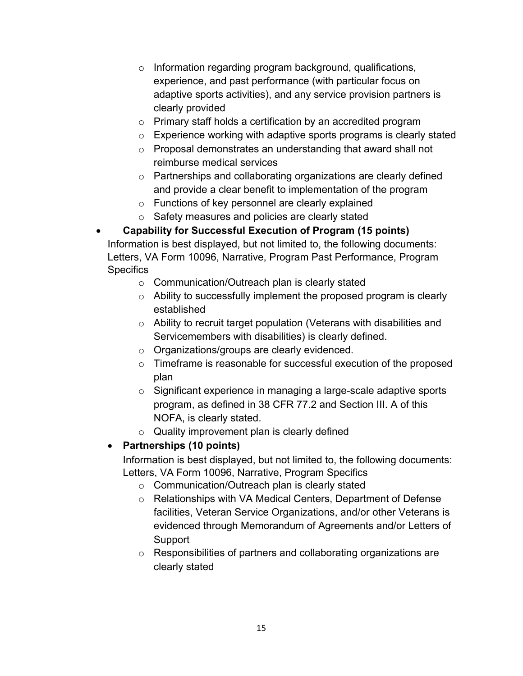- o Information regarding program background, qualifications, experience, and past performance (with particular focus on adaptive sports activities), and any service provision partners is clearly provided
- o Primary staff holds a certification by an accredited program
- o Experience working with adaptive sports programs is clearly stated
- o Proposal demonstrates an understanding that award shall not reimburse medical services
- o Partnerships and collaborating organizations are clearly defined and provide a clear benefit to implementation of the program
- o Functions of key personnel are clearly explained
- o Safety measures and policies are clearly stated

• **Capability for Successful Execution of Program (15 points)** Information is best displayed, but not limited to, the following documents: Letters, VA Form 10096, Narrative, Program Past Performance, Program **Specifics** 

- o Communication/Outreach plan is clearly stated
- o Ability to successfully implement the proposed program is clearly established
- o Ability to recruit target population (Veterans with disabilities and Servicemembers with disabilities) is clearly defined.
- o Organizations/groups are clearly evidenced.
- o Timeframe is reasonable for successful execution of the proposed plan
- o Significant experience in managing a large-scale adaptive sports program, as defined in 38 CFR 77.2 and Section III. A of this NOFA, is clearly stated.
- o Quality improvement plan is clearly defined

## • **Partnerships (10 points)**

Information is best displayed, but not limited to, the following documents: Letters, VA Form 10096, Narrative, Program Specifics

- o Communication/Outreach plan is clearly stated
- o Relationships with VA Medical Centers, Department of Defense facilities, Veteran Service Organizations, and/or other Veterans is evidenced through Memorandum of Agreements and/or Letters of Support
- o Responsibilities of partners and collaborating organizations are clearly stated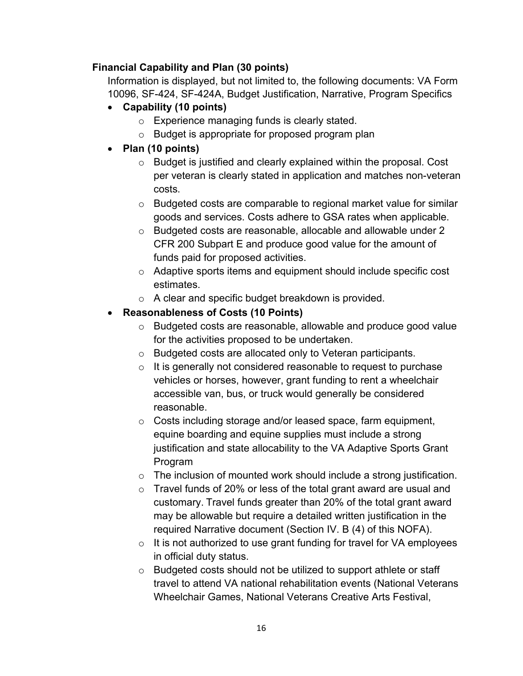## **Financial Capability and Plan (30 points)**

Information is displayed, but not limited to, the following documents: VA Form 10096, SF-424, SF-424A, Budget Justification, Narrative, Program Specifics

- **Capability (10 points)**
	- o Experience managing funds is clearly stated.
	- o Budget is appropriate for proposed program plan
- **Plan (10 points)**
	- o Budget is justified and clearly explained within the proposal. Cost per veteran is clearly stated in application and matches non-veteran costs.
	- o Budgeted costs are comparable to regional market value for similar goods and services. Costs adhere to GSA rates when applicable.
	- o Budgeted costs are reasonable, allocable and allowable under 2 CFR 200 Subpart E and produce good value for the amount of funds paid for proposed activities.
	- o Adaptive sports items and equipment should include specific cost estimates.
	- o A clear and specific budget breakdown is provided.
- **Reasonableness of Costs (10 Points)**
	- o Budgeted costs are reasonable, allowable and produce good value for the activities proposed to be undertaken.
	- o Budgeted costs are allocated only to Veteran participants.
	- o It is generally not considered reasonable to request to purchase vehicles or horses, however, grant funding to rent a wheelchair accessible van, bus, or truck would generally be considered reasonable.
	- o Costs including storage and/or leased space, farm equipment, equine boarding and equine supplies must include a strong justification and state allocability to the VA Adaptive Sports Grant Program
	- $\circ$  The inclusion of mounted work should include a strong justification.
	- o Travel funds of 20% or less of the total grant award are usual and customary. Travel funds greater than 20% of the total grant award may be allowable but require a detailed written justification in the required Narrative document (Section IV. B (4) of this NOFA).
	- $\circ$  It is not authorized to use grant funding for travel for VA employees in official duty status.
	- o Budgeted costs should not be utilized to support athlete or staff travel to attend VA national rehabilitation events (National Veterans Wheelchair Games, National Veterans Creative Arts Festival,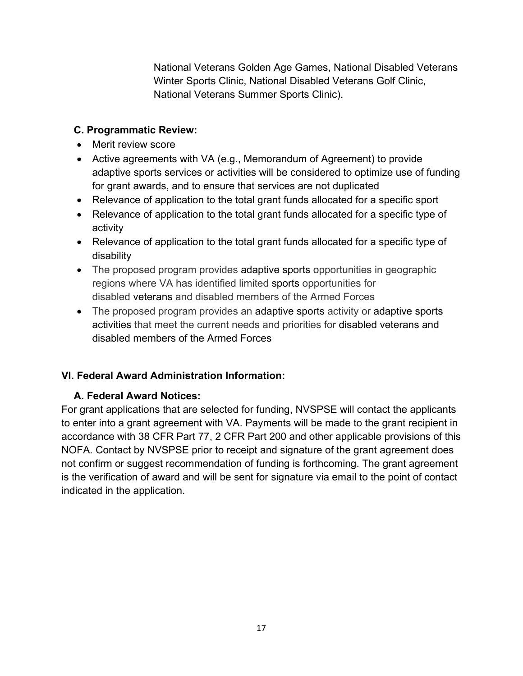National Veterans Golden Age Games, National Disabled Veterans Winter Sports Clinic, National Disabled Veterans Golf Clinic, National Veterans Summer Sports Clinic).

## <span id="page-17-0"></span>**C. Programmatic Review:**

- Merit review score
- Active agreements with VA (e.g., Memorandum of Agreement) to provide adaptive sports services or activities will be considered to optimize use of funding for grant awards, and to ensure that services are not duplicated
- Relevance of application to the total grant funds allocated for a specific sport
- Relevance of application to the total grant funds allocated for a specific type of activity
- Relevance of application to the total grant funds allocated for a specific type of disability
- The proposed program provides adaptive sports opportunities in geographic regions where VA has identified limited sports opportunities for disabled veterans and disabled members of the Armed Forces
- The proposed program provides an adaptive sports activity or adaptive sports activities that meet the current needs and priorities for disabled veterans and disabled members of the Armed Forces

## <span id="page-17-1"></span>**VI. Federal Award Administration Information:**

## <span id="page-17-2"></span>**A. Federal Award Notices:**

For grant applications that are selected for funding, NVSPSE will contact the applicants to enter into a grant agreement with VA. Payments will be made to the grant recipient in accordance with 38 CFR Part 77, 2 CFR Part 200 and other applicable provisions of this NOFA. Contact by NVSPSE prior to receipt and signature of the grant agreement does not confirm or suggest recommendation of funding is forthcoming. The grant agreement is the verification of award and will be sent for signature via email to the point of contact indicated in the application.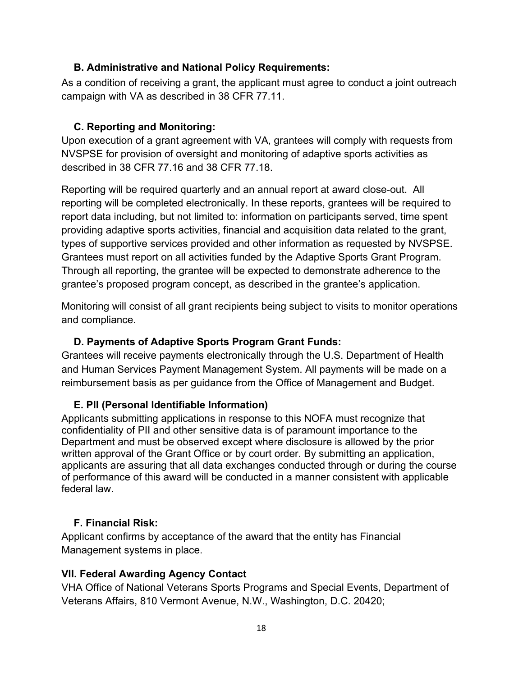## <span id="page-18-0"></span>**B. Administrative and National Policy Requirements:**

As a condition of receiving a grant, the applicant must agree to conduct a joint outreach campaign with VA as described in 38 CFR 77.11.

## **C. Reporting and Monitoring:**

Upon execution of a grant agreement with VA, grantees will comply with requests from NVSPSE for provision of oversight and monitoring of adaptive sports activities as described in 38 CFR 77.16 and 38 CFR 77.18.

Reporting will be required quarterly and an annual report at award close-out. All reporting will be completed electronically. In these reports, grantees will be required to report data including, but not limited to: information on participants served, time spent providing adaptive sports activities, financial and acquisition data related to the grant, types of supportive services provided and other information as requested by NVSPSE. Grantees must report on all activities funded by the Adaptive Sports Grant Program. Through all reporting, the grantee will be expected to demonstrate adherence to the grantee's proposed program concept, as described in the grantee's application.

Monitoring will consist of all grant recipients being subject to visits to monitor operations and compliance.

## **D. Payments of Adaptive Sports Program Grant Funds:**

<span id="page-18-1"></span>Grantees will receive payments electronically through the U.S. Department of Health and Human Services Payment Management System. All payments will be made on a reimbursement basis as per guidance from the Office of Management and Budget.

## <span id="page-18-2"></span>**E. PII (Personal Identifiable Information)**

Applicants submitting applications in response to this NOFA must recognize that confidentiality of PII and other sensitive data is of paramount importance to the Department and must be observed except where disclosure is allowed by the prior written approval of the Grant Office or by court order. By submitting an application, applicants are assuring that all data exchanges conducted through or during the course of performance of this award will be conducted in a manner consistent with applicable federal law.

## <span id="page-18-3"></span>**F. Financial Risk:**

Applicant confirms by acceptance of the award that the entity has Financial Management systems in place.

## <span id="page-18-4"></span>**VII. Federal Awarding Agency Contact**

VHA Office of National Veterans Sports Programs and Special Events, Department of Veterans Affairs, 810 Vermont Avenue, N.W., Washington, D.C. 20420;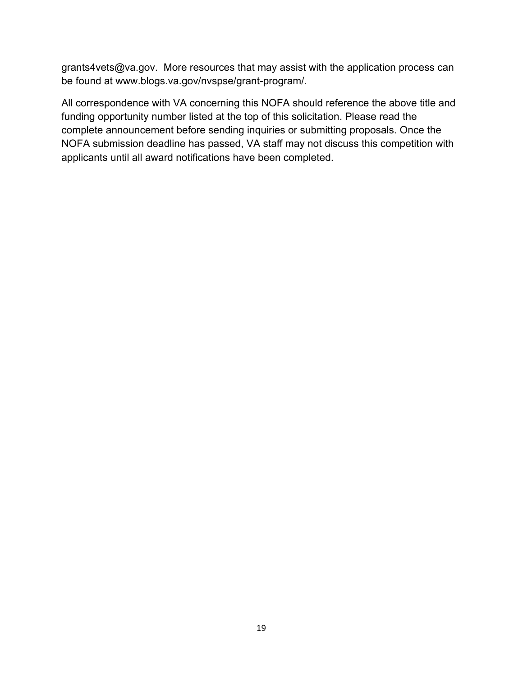grants4vets@va.gov. More resources that may assist with the application process can be found at www.blogs.va.gov/nvspse/grant-program/.

All correspondence with VA concerning this NOFA should reference the above title and funding opportunity number listed at the top of this solicitation. Please read the complete announcement before sending inquiries or submitting proposals. Once the NOFA submission deadline has passed, VA staff may not discuss this competition with applicants until all award notifications have been completed.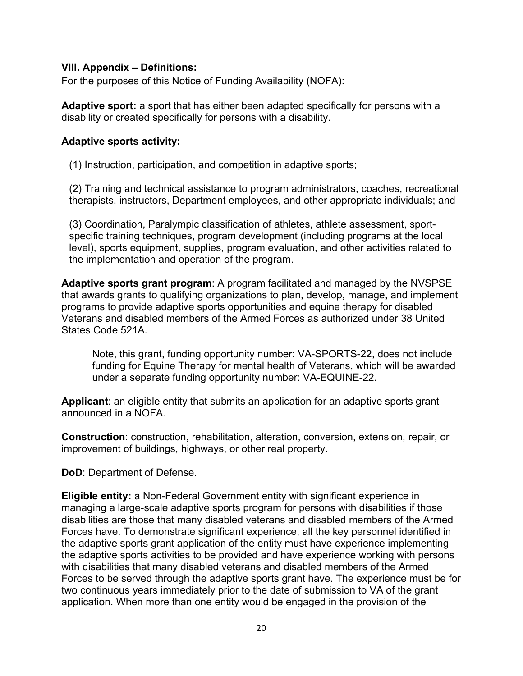#### <span id="page-20-0"></span>**VIII. Appendix – Definitions:**

For the purposes of this Notice of Funding Availability (NOFA):

**Adaptive sport:** a sport that has either been adapted specifically for persons with a disability or created specifically for persons with a disability.

#### **Adaptive sports activity:**

(1) Instruction, participation, and competition in adaptive sports;

(2) Training and technical assistance to program administrators, coaches, recreational therapists, instructors, Department employees, and other appropriate individuals; and

(3) Coordination, Paralympic classification of athletes, athlete assessment, sportspecific training techniques, program development (including programs at the local level), sports equipment, supplies, program evaluation, and other activities related to the implementation and operation of the program.

**Adaptive sports grant program**: A program facilitated and managed by the NVSPSE that awards grants to qualifying organizations to plan, develop, manage, and implement programs to provide adaptive sports opportunities and equine therapy for disabled Veterans and disabled members of the Armed Forces as authorized under 38 United States Code 521A.

Note, this grant, funding opportunity number: VA-SPORTS-22, does not include funding for Equine Therapy for mental health of Veterans, which will be awarded under a separate funding opportunity number: VA-EQUINE-22.

**Applicant**: an eligible entity that submits an application for an adaptive sports grant announced in a NOFA.

**Construction**: construction, rehabilitation, alteration, conversion, extension, repair, or improvement of buildings, highways, or other real property.

**DoD**: Department of Defense.

**Eligible entity:** a Non-Federal Government entity with significant experience in managing a large-scale adaptive sports program for persons with disabilities if those disabilities are those that many disabled veterans and disabled members of the Armed Forces have. To demonstrate significant experience, all the key personnel identified in the adaptive sports grant application of the entity must have experience implementing the adaptive sports activities to be provided and have experience working with persons with disabilities that many disabled veterans and disabled members of the Armed Forces to be served through the adaptive sports grant have. The experience must be for two continuous years immediately prior to the date of submission to VA of the grant application. When more than one entity would be engaged in the provision of the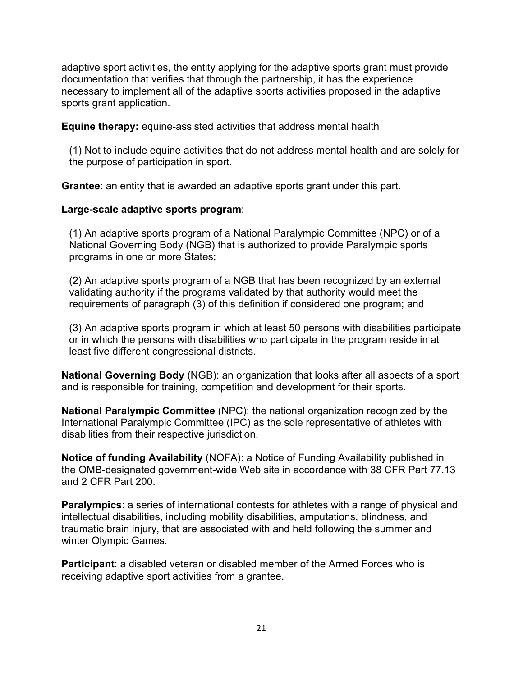adaptive sport activities, the entity applying for the adaptive sports grant must provide documentation that verifies that through the partnership, it has the experience necessary to implement all of the adaptive sports activities proposed in the adaptive sports grant application.

**Equine therapy:** equine-assisted activities that address mental health

(1) Not to include equine activities that do not address mental health and are solely for the purpose of participation in sport.

**Grantee**: an entity that is awarded an adaptive sports grant under this part.

## **Large-scale adaptive sports program**:

(1) An adaptive sports program of a National Paralympic Committee (NPC) or of a National Governing Body (NGB) that is authorized to provide Paralympic sports programs in one or more States;

(2) An adaptive sports program of a NGB that has been recognized by an external validating authority if the programs validated by that authority would meet the requirements of paragraph (3) of this definition if considered one program; and

(3) An adaptive sports program in which at least 50 persons with disabilities participate or in which the persons with disabilities who participate in the program reside in at least five different congressional districts.

**National Governing Body** (NGB): an organization that looks after all aspects of a sport and is responsible for training, competition and development for their sports.

**National Paralympic Committee** (NPC): the national organization recognized by the International Paralympic Committee (IPC) as the sole representative of athletes with disabilities from their respective jurisdiction.

**Notice of funding Availability** (NOFA): a Notice of Funding Availability published in the OMB-designated government-wide Web site in accordance with 38 CFR Part 77.13 and 2 CFR Part 200.

**Paralympics**: a series of international contests for athletes with a range of physical and intellectual disabilities, including mobility disabilities, amputations, blindness, and traumatic brain injury, that are associated with and held following the summer and winter Olympic Games.

**Participant**: a disabled veteran or disabled member of the Armed Forces who is receiving adaptive sport activities from a grantee.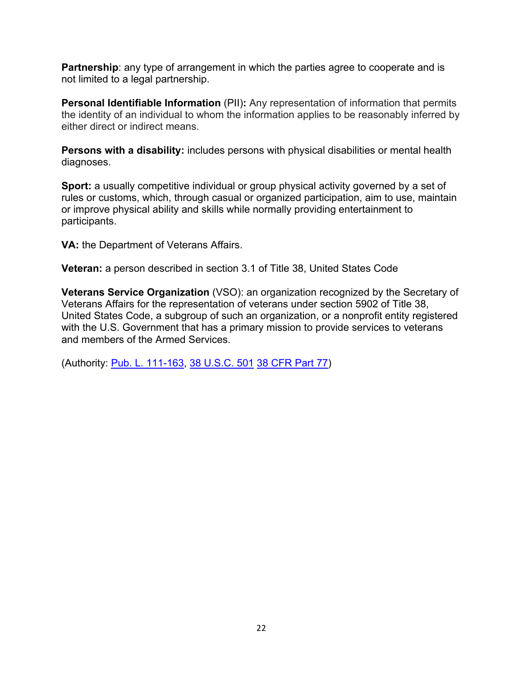**Partnership**: any type of arrangement in which the parties agree to cooperate and is not limited to a legal partnership.

**Personal Identifiable Information** (PII): Any representation of information that permits the identity of an individual to whom the information applies to be reasonably inferred by either direct or indirect means.

**Persons with a disability:** includes persons with physical disabilities or mental health diagnoses.

**Sport:** a usually competitive individual or group physical activity governed by a set of rules or customs, which, through casual or organized participation, aim to use, maintain or improve physical ability and skills while normally providing entertainment to participants.

**VA:** the Department of Veterans Affairs.

**Veteran:** a person described in section 3.1 of Title 38, United States Code

**Veterans Service Organization** (VSO): an organization recognized by the Secretary of Veterans Affairs for the representation of veterans under section 5902 of Title 38, United States Code, a subgroup of such an organization, or a nonprofit entity registered with the U.S. Government that has a primary mission to provide services to veterans and members of the Armed Services.

(Authority: [Pub. L. 111-163,](https://www.govinfo.gov/link/plaw/111/public/163) [38 U.S.C. 501](https://www.govinfo.gov/link/uscode/38/501) [38 CFR Part 77\)](https://www.ecfr.gov/current/title-38/chapter-I/part-77)